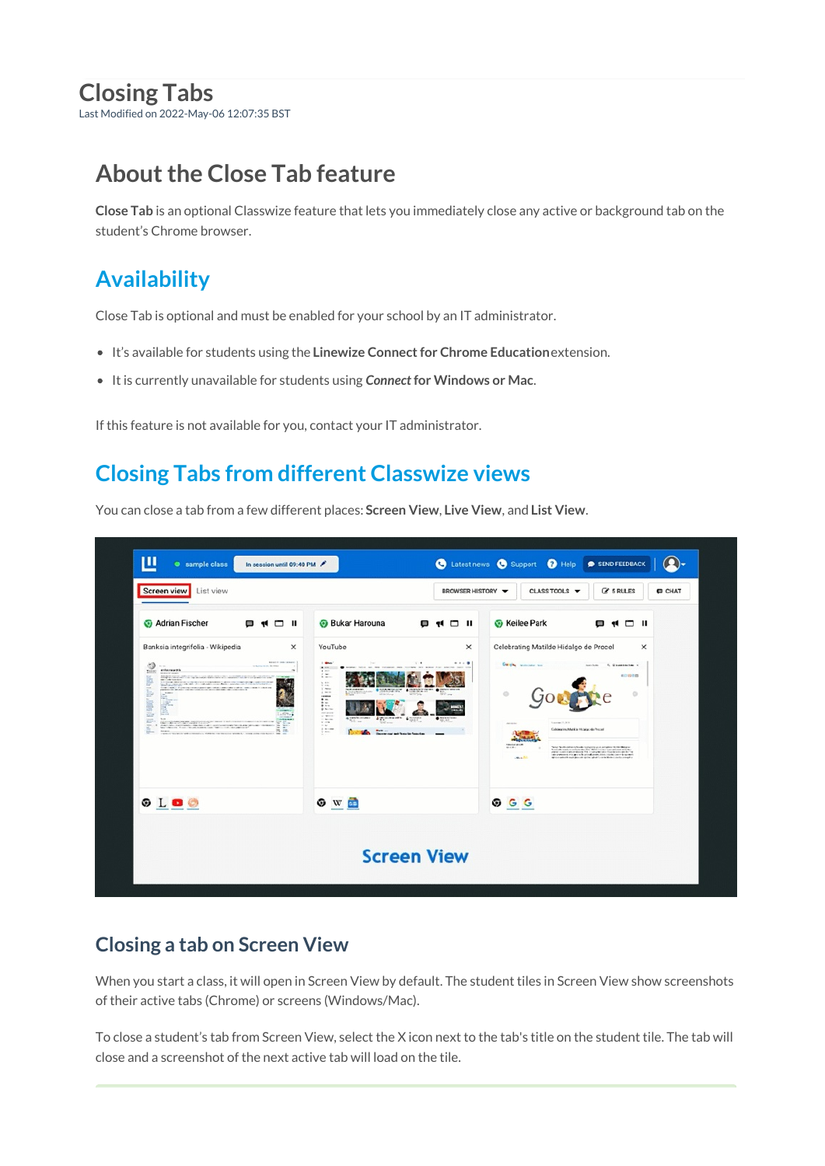# **Closing Tabs**

Last Modified on 2022-May-06 12:07:35 BST

# **About the Close Tab feature**

**Close Tab** is an optional Classwize feature that lets you immediately close any active or background tab on the student's Chrome browser.

## **Availability**

Close Tab is optional and must be enabled for your school by an IT administrator.

- It's available for students using the **Linewize Connect for Chrome Education**extension.
- It is currently unavailable for students using *Connect* **for Windows or Mac**.

If this feature is not available for you, contact your IT administrator.

## **Closing Tabs from different Classwize views**

You can close a tab from a few different places: **Screen View**, **Live View**, and **List View**.



### **Closing a tab on Screen View**

When you start a class, it will open in Screen View by default. The student tiles in Screen View show screenshots of their active tabs (Chrome) or screens (Windows/Mac).

To close a student's tab from Screen View, select the X icon next to the tab's title on the student tile. The tab will close and a screenshot of the next active tab will load on the tile.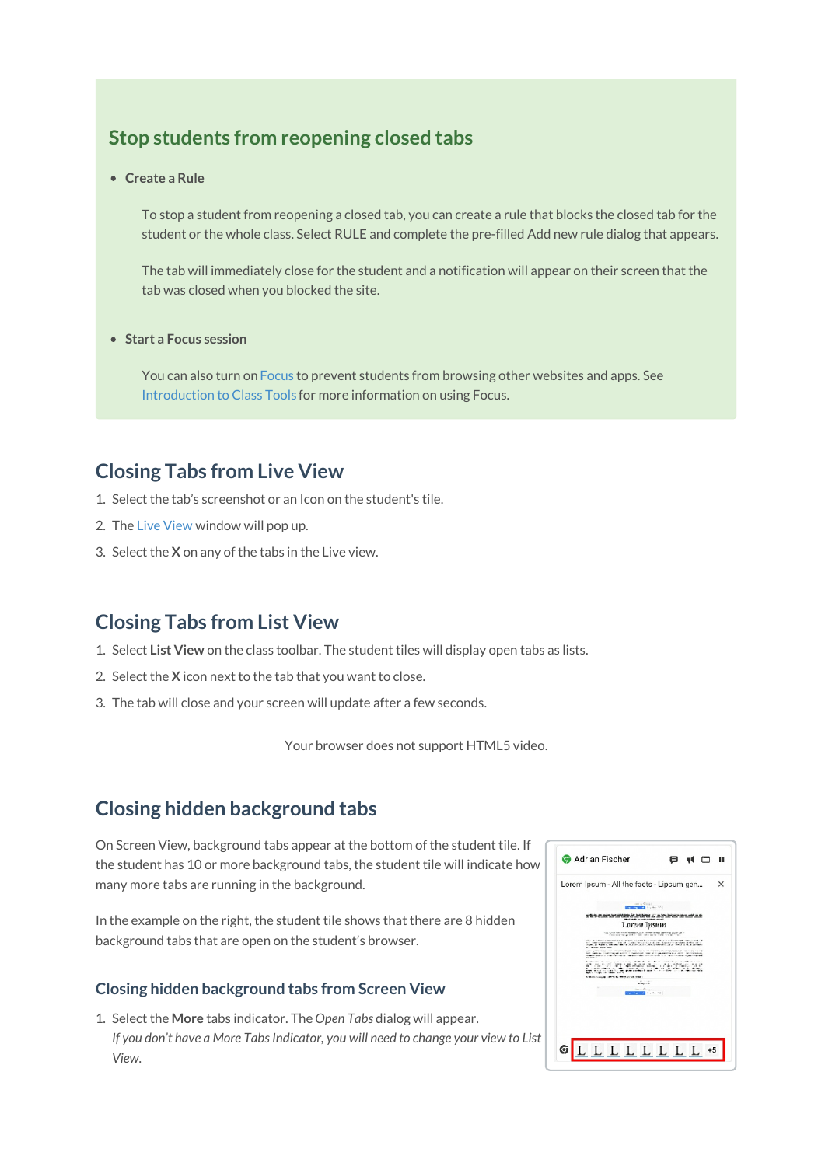#### **Stop students from reopening closed tabs**

**Create a Rule**

To stop a student from reopening a closed tab, you can create a rule that blocks the closed tab for the student or the whole class. Select RULE and complete the pre-filled Add new rule dialog that appears.

The tab will immediately close for the student and a notification will appear on their screen that the tab was closed when you blocked the site.

**Start a Focus session**

You can also turn on [Focus](https://docs.classwize.net/help/intro-classtools#focus) to prevent students from browsing other websites and apps. See [Introduction](https://docs.classwize.net/help/intro-classtools) to Class Tools for more information on using Focus.

#### **Closing Tabs from Live View**

- 1. Select the tab's screenshot or an Icon on the student's tile.
- 2. The Live [View](https://docs.classwize.net/help/intro-classtools) window will pop up.
- 3. Select the **X** on any of the tabs in the Live view.

#### **Closing Tabs from List View**

- 1. Select **List View** on the class toolbar. The student tiles will display open tabs as lists.
- 2. Select the **X** icon next to the tab that you want to close.
- 3. The tab will close and your screen will update after a few seconds.

Your browser does not support HTML5 video.

#### **Closing hidden background tabs**

On Screen View, background tabs appear at the bottom of the student tile. If the student has 10 or more background tabs, the student tile will indicate how many more tabs are running in the background.

In the example on the right, the student tile shows that there are 8 hidden background tabs that are open on the student's browser.

#### **Closing hidden background tabs from Screen View**

1. Select the **More** tabs indicator. The *Open Tabs* dialog will appear. *If you don't have a More Tabs Indicator, you will need to change your view to List View.*

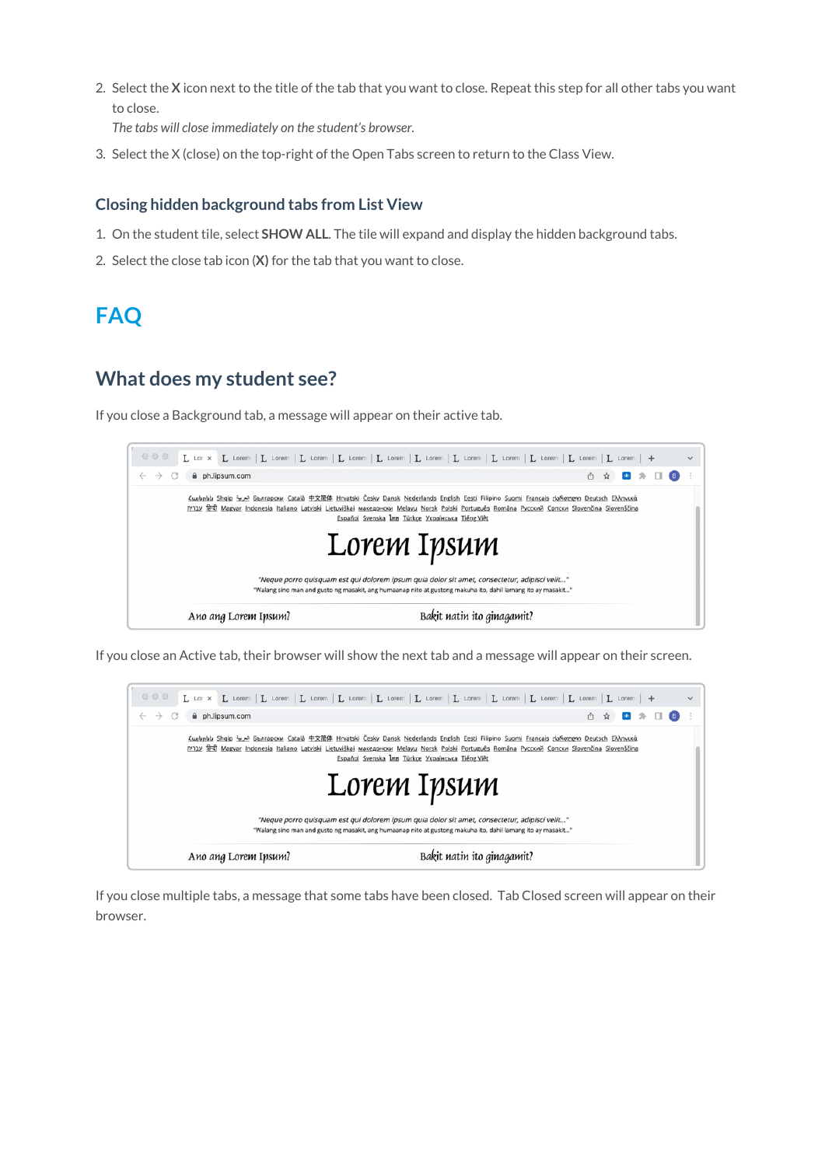2. Select the **X** icon next to the title of the tab that you want to close. Repeat this step for all other tabs you want to close.

*The tabs will close immediately on the student's browser.*

3. Select the X (close) on the top-right of the Open Tabs screen to return to the Class View.

#### **Closing hidden background tabs from List View**

- 1. On the student tile, select **SHOW ALL**. The tile will expand and display the hidden background tabs.
- 2. Select the close tab icon (**X)** for the tab that you want to close.

### **FAQ**

#### **What does my student see?**

If you close a Background tab, a message will appear on their active tab.



If you close an Active tab, their browser will show the next tab and a message will appear on their screen.



If you close multiple tabs, a message that some tabs have been closed. Tab Closed screen will appear on their browser.